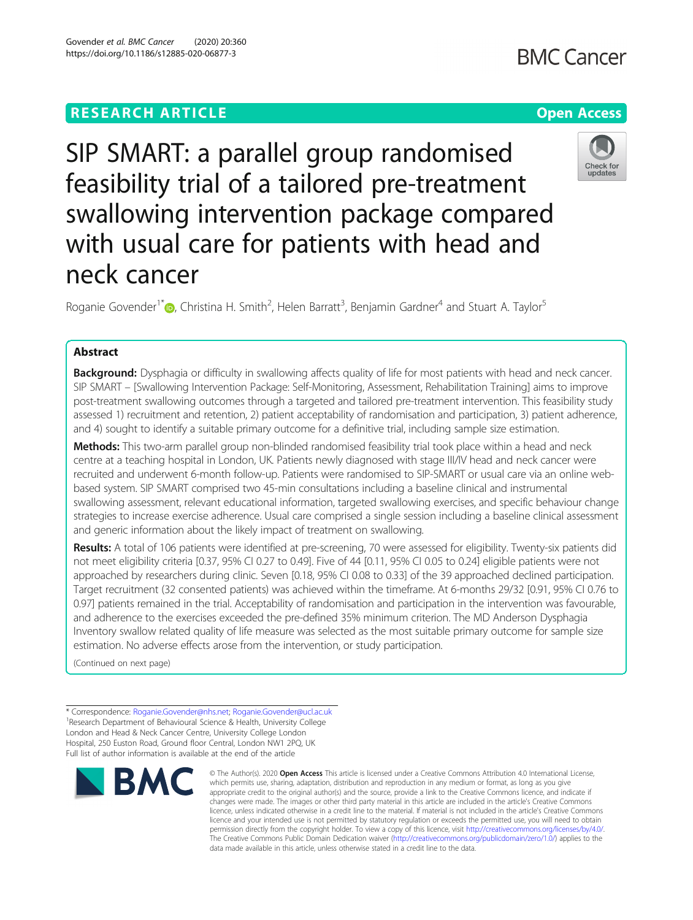## **RESEARCH ARTICLE Example 2014 12:30 The Contract of Contract ACCESS**

# SIP SMART: a parallel group randomised feasibility trial of a tailored pre-treatment swallowing intervention package compared with usual care for patients with head and neck cancer

Roganie Govender<sup>1[\\*](http://orcid.org/0000-0003-2249-434X)</sup> $\bullet$ , Christina H. Smith<sup>2</sup>, Helen Barratt<sup>3</sup>, Benjamin Gardner<sup>4</sup> and Stuart A. Taylor<sup>5</sup>

## Abstract

Background: Dysphagia or difficulty in swallowing affects quality of life for most patients with head and neck cancer. SIP SMART – [Swallowing Intervention Package: Self-Monitoring, Assessment, Rehabilitation Training] aims to improve post-treatment swallowing outcomes through a targeted and tailored pre-treatment intervention. This feasibility study assessed 1) recruitment and retention, 2) patient acceptability of randomisation and participation, 3) patient adherence, and 4) sought to identify a suitable primary outcome for a definitive trial, including sample size estimation.

Methods: This two-arm parallel group non-blinded randomised feasibility trial took place within a head and neck centre at a teaching hospital in London, UK. Patients newly diagnosed with stage III/IV head and neck cancer were recruited and underwent 6-month follow-up. Patients were randomised to SIP-SMART or usual care via an online webbased system. SIP SMART comprised two 45-min consultations including a baseline clinical and instrumental swallowing assessment, relevant educational information, targeted swallowing exercises, and specific behaviour change strategies to increase exercise adherence. Usual care comprised a single session including a baseline clinical assessment and generic information about the likely impact of treatment on swallowing.

Results: A total of 106 patients were identified at pre-screening, 70 were assessed for eligibility. Twenty-six patients did not meet eligibility criteria [0.37, 95% CI 0.27 to 0.49]. Five of 44 [0.11, 95% CI 0.05 to 0.24] eligible patients were not approached by researchers during clinic. Seven [0.18, 95% CI 0.08 to 0.33] of the 39 approached declined participation. Target recruitment (32 consented patients) was achieved within the timeframe. At 6-months 29/32 [0.91, 95% CI 0.76 to 0.97] patients remained in the trial. Acceptability of randomisation and participation in the intervention was favourable, and adherence to the exercises exceeded the pre-defined 35% minimum criterion. The MD Anderson Dysphagia Inventory swallow related quality of life measure was selected as the most suitable primary outcome for sample size estimation. No adverse effects arose from the intervention, or study participation.

(Continued on next page)

**BMC** 

\* Correspondence: [Roganie.Govender@nhs.net;](mailto:Roganie.Govender@nhs.net) [Roganie.Govender@ucl.ac.uk](mailto:Roganie.Govender@ucl.ac.uk) <sup>1</sup> <sup>1</sup> Research Department of Behavioural Science & Health, University College London and Head & Neck Cancer Centre, University College London Hospital, 250 Euston Road, Ground floor Central, London NW1 2PQ, UK Full list of author information is available at the end of the article

#### © The Author(s), 2020 **Open Access** This article is licensed under a Creative Commons Attribution 4.0 International License, which permits use, sharing, adaptation, distribution and reproduction in any medium or format, as long as you give appropriate credit to the original author(s) and the source, provide a link to the Creative Commons licence, and indicate if changes were made. The images or other third party material in this article are included in the article's Creative Commons licence, unless indicated otherwise in a credit line to the material. If material is not included in the article's Creative Commons licence and your intended use is not permitted by statutory regulation or exceeds the permitted use, you will need to obtain permission directly from the copyright holder. To view a copy of this licence, visit [http://creativecommons.org/licenses/by/4.0/.](http://creativecommons.org/licenses/by/4.0/) The Creative Commons Public Domain Dedication waiver [\(http://creativecommons.org/publicdomain/zero/1.0/](http://creativecommons.org/publicdomain/zero/1.0/)) applies to the data made available in this article, unless otherwise stated in a credit line to the data.





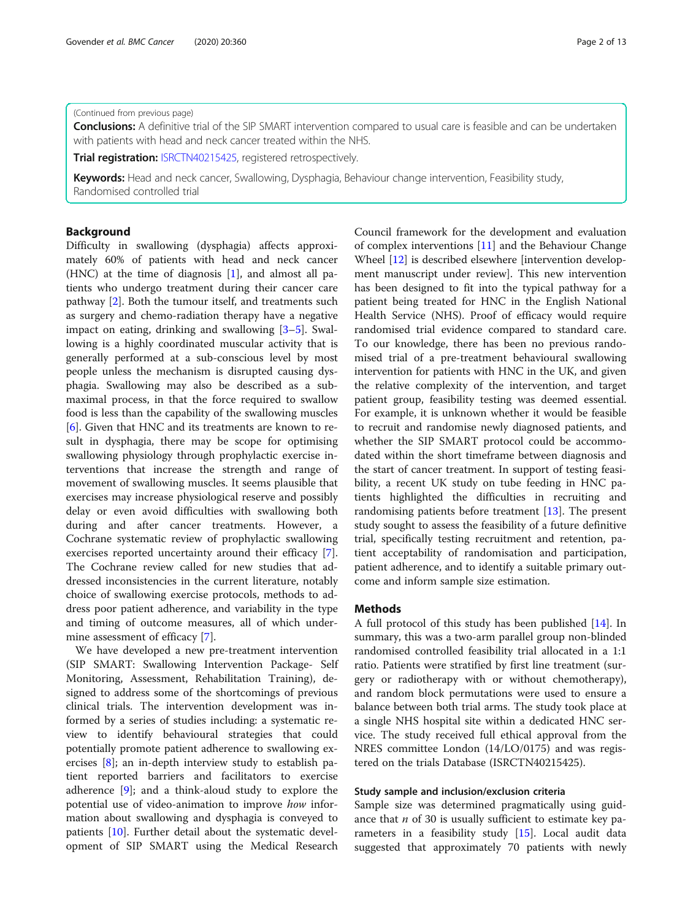#### (Continued from previous page)

Conclusions: A definitive trial of the SIP SMART intervention compared to usual care is feasible and can be undertaken with patients with head and neck cancer treated within the NHS.

Trial registration: [ISRCTN40215425,](http://www.isrctn.com/ISRCTN40215425) registered retrospectively.

Keywords: Head and neck cancer, Swallowing, Dysphagia, Behaviour change intervention, Feasibility study, Randomised controlled trial

#### Background

Difficulty in swallowing (dysphagia) affects approximately 60% of patients with head and neck cancer (HNC) at the time of diagnosis  $[1]$  $[1]$ , and almost all patients who undergo treatment during their cancer care pathway [[2\]](#page-11-0). Both the tumour itself, and treatments such as surgery and chemo-radiation therapy have a negative impact on eating, drinking and swallowing [\[3](#page-11-0)–[5\]](#page-12-0). Swallowing is a highly coordinated muscular activity that is generally performed at a sub-conscious level by most people unless the mechanism is disrupted causing dysphagia. Swallowing may also be described as a submaximal process, in that the force required to swallow food is less than the capability of the swallowing muscles [[6\]](#page-12-0). Given that HNC and its treatments are known to result in dysphagia, there may be scope for optimising swallowing physiology through prophylactic exercise interventions that increase the strength and range of movement of swallowing muscles. It seems plausible that exercises may increase physiological reserve and possibly delay or even avoid difficulties with swallowing both during and after cancer treatments. However, a Cochrane systematic review of prophylactic swallowing exercises reported uncertainty around their efficacy [\[7](#page-12-0)]. The Cochrane review called for new studies that addressed inconsistencies in the current literature, notably choice of swallowing exercise protocols, methods to address poor patient adherence, and variability in the type and timing of outcome measures, all of which undermine assessment of efficacy [[7](#page-12-0)].

We have developed a new pre-treatment intervention (SIP SMART: Swallowing Intervention Package- Self Monitoring, Assessment, Rehabilitation Training), designed to address some of the shortcomings of previous clinical trials. The intervention development was informed by a series of studies including: a systematic review to identify behavioural strategies that could potentially promote patient adherence to swallowing exercises [[8\]](#page-12-0); an in-depth interview study to establish patient reported barriers and facilitators to exercise adherence [\[9](#page-12-0)]; and a think-aloud study to explore the potential use of video-animation to improve how information about swallowing and dysphagia is conveyed to patients [[10\]](#page-12-0). Further detail about the systematic development of SIP SMART using the Medical Research

Council framework for the development and evaluation of complex interventions [\[11](#page-12-0)] and the Behaviour Change Wheel [[12](#page-12-0)] is described elsewhere [intervention development manuscript under review]. This new intervention has been designed to fit into the typical pathway for a patient being treated for HNC in the English National Health Service (NHS). Proof of efficacy would require randomised trial evidence compared to standard care. To our knowledge, there has been no previous randomised trial of a pre-treatment behavioural swallowing intervention for patients with HNC in the UK, and given the relative complexity of the intervention, and target patient group, feasibility testing was deemed essential. For example, it is unknown whether it would be feasible to recruit and randomise newly diagnosed patients, and whether the SIP SMART protocol could be accommodated within the short timeframe between diagnosis and the start of cancer treatment. In support of testing feasibility, a recent UK study on tube feeding in HNC patients highlighted the difficulties in recruiting and randomising patients before treatment  $[13]$  $[13]$ . The present study sought to assess the feasibility of a future definitive trial, specifically testing recruitment and retention, patient acceptability of randomisation and participation, patient adherence, and to identify a suitable primary outcome and inform sample size estimation.

#### Methods

A full protocol of this study has been published [\[14](#page-12-0)]. In summary, this was a two-arm parallel group non-blinded randomised controlled feasibility trial allocated in a 1:1 ratio. Patients were stratified by first line treatment (surgery or radiotherapy with or without chemotherapy), and random block permutations were used to ensure a balance between both trial arms. The study took place at a single NHS hospital site within a dedicated HNC service. The study received full ethical approval from the NRES committee London (14/LO/0175) and was registered on the trials Database (ISRCTN40215425).

#### Study sample and inclusion/exclusion criteria

Sample size was determined pragmatically using guidance that  $n$  of 30 is usually sufficient to estimate key parameters in a feasibility study [[15\]](#page-12-0). Local audit data suggested that approximately 70 patients with newly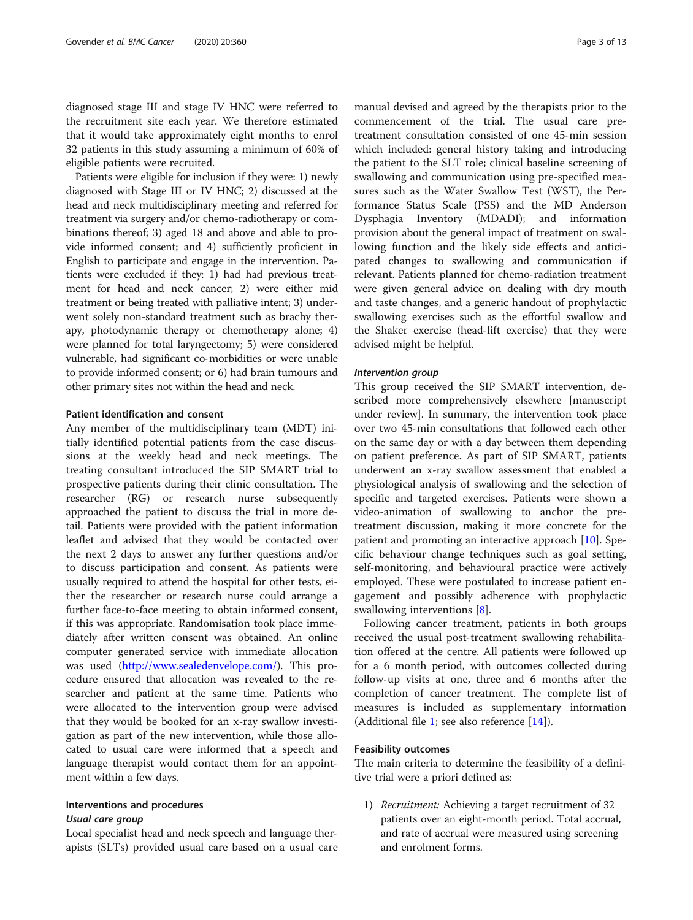diagnosed stage III and stage IV HNC were referred to the recruitment site each year. We therefore estimated that it would take approximately eight months to enrol 32 patients in this study assuming a minimum of 60% of eligible patients were recruited.

Patients were eligible for inclusion if they were: 1) newly diagnosed with Stage III or IV HNC; 2) discussed at the head and neck multidisciplinary meeting and referred for treatment via surgery and/or chemo-radiotherapy or combinations thereof; 3) aged 18 and above and able to provide informed consent; and 4) sufficiently proficient in English to participate and engage in the intervention. Patients were excluded if they: 1) had had previous treatment for head and neck cancer; 2) were either mid treatment or being treated with palliative intent; 3) underwent solely non-standard treatment such as brachy therapy, photodynamic therapy or chemotherapy alone; 4) were planned for total laryngectomy; 5) were considered vulnerable, had significant co-morbidities or were unable to provide informed consent; or 6) had brain tumours and other primary sites not within the head and neck.

#### Patient identification and consent

Any member of the multidisciplinary team (MDT) initially identified potential patients from the case discussions at the weekly head and neck meetings. The treating consultant introduced the SIP SMART trial to prospective patients during their clinic consultation. The researcher (RG) or research nurse subsequently approached the patient to discuss the trial in more detail. Patients were provided with the patient information leaflet and advised that they would be contacted over the next 2 days to answer any further questions and/or to discuss participation and consent. As patients were usually required to attend the hospital for other tests, either the researcher or research nurse could arrange a further face-to-face meeting to obtain informed consent, if this was appropriate. Randomisation took place immediately after written consent was obtained. An online computer generated service with immediate allocation was used (<http://www.sealedenvelope.com/>). This procedure ensured that allocation was revealed to the researcher and patient at the same time. Patients who were allocated to the intervention group were advised that they would be booked for an x-ray swallow investigation as part of the new intervention, while those allocated to usual care were informed that a speech and language therapist would contact them for an appointment within a few days.

#### Interventions and procedures

Local specialist head and neck speech and language therapists (SLTs) provided usual care based on a usual care

manual devised and agreed by the therapists prior to the commencement of the trial. The usual care pretreatment consultation consisted of one 45-min session which included: general history taking and introducing the patient to the SLT role; clinical baseline screening of swallowing and communication using pre-specified measures such as the Water Swallow Test (WST), the Performance Status Scale (PSS) and the MD Anderson Dysphagia Inventory (MDADI); and information provision about the general impact of treatment on swallowing function and the likely side effects and anticipated changes to swallowing and communication if relevant. Patients planned for chemo-radiation treatment were given general advice on dealing with dry mouth and taste changes, and a generic handout of prophylactic swallowing exercises such as the effortful swallow and the Shaker exercise (head-lift exercise) that they were advised might be helpful.

This group received the SIP SMART intervention, described more comprehensively elsewhere [manuscript under review]. In summary, the intervention took place over two 45-min consultations that followed each other on the same day or with a day between them depending on patient preference. As part of SIP SMART, patients underwent an x-ray swallow assessment that enabled a physiological analysis of swallowing and the selection of specific and targeted exercises. Patients were shown a video-animation of swallowing to anchor the pretreatment discussion, making it more concrete for the patient and promoting an interactive approach [\[10](#page-12-0)]. Specific behaviour change techniques such as goal setting, self-monitoring, and behavioural practice were actively employed. These were postulated to increase patient engagement and possibly adherence with prophylactic swallowing interventions [\[8](#page-12-0)].

Following cancer treatment, patients in both groups received the usual post-treatment swallowing rehabilitation offered at the centre. All patients were followed up for a 6 month period, with outcomes collected during follow-up visits at one, three and 6 months after the completion of cancer treatment. The complete list of measures is included as supplementary information (Additional file [1](#page-11-0); see also reference  $[14]$  $[14]$ ).

#### Feasibility outcomes

The main criteria to determine the feasibility of a definitive trial were a priori defined as:

1) Recruitment: Achieving a target recruitment of 32 patients over an eight-month period. Total accrual, and rate of accrual were measured using screening and enrolment forms.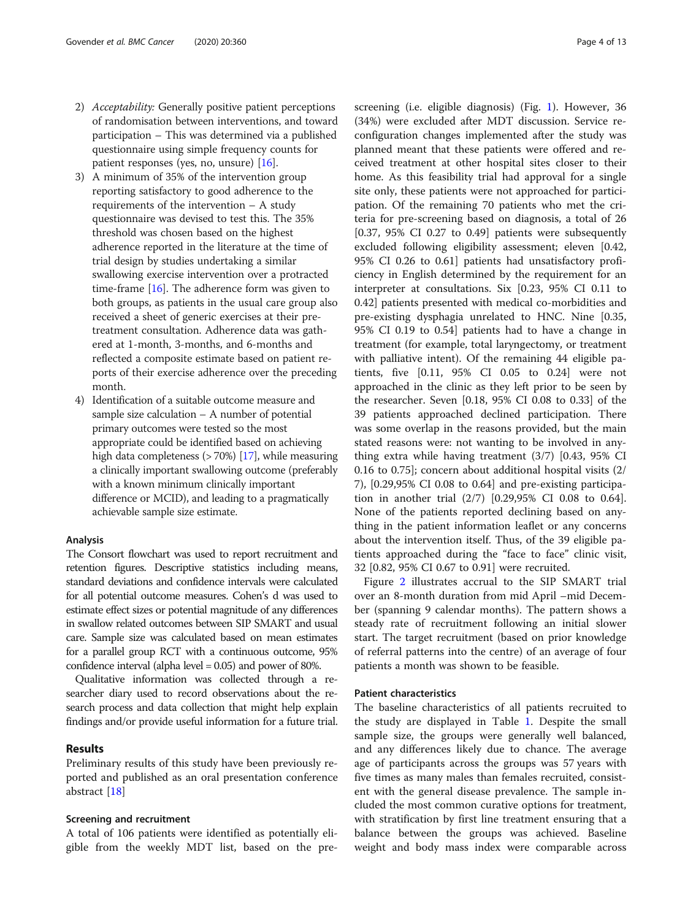- 2) Acceptability: Generally positive patient perceptions of randomisation between interventions, and toward participation – This was determined via a published questionnaire using simple frequency counts for patient responses (yes, no, unsure) [[16](#page-12-0)].
- 3) A minimum of 35% of the intervention group reporting satisfactory to good adherence to the requirements of the intervention – A study questionnaire was devised to test this. The 35% threshold was chosen based on the highest adherence reported in the literature at the time of trial design by studies undertaking a similar swallowing exercise intervention over a protracted time-frame  $[16]$ . The adherence form was given to both groups, as patients in the usual care group also received a sheet of generic exercises at their pretreatment consultation. Adherence data was gathered at 1-month, 3-months, and 6-months and reflected a composite estimate based on patient reports of their exercise adherence over the preceding month.
- 4) Identification of a suitable outcome measure and sample size calculation  $-$  A number of potential primary outcomes were tested so the most appropriate could be identified based on achieving high data completeness  $($ >70%) [[17](#page-12-0)], while measuring a clinically important swallowing outcome (preferably with a known minimum clinically important difference or MCID), and leading to a pragmatically achievable sample size estimate.

#### Analysis

The Consort flowchart was used to report recruitment and retention figures. Descriptive statistics including means, standard deviations and confidence intervals were calculated for all potential outcome measures. Cohen's d was used to estimate effect sizes or potential magnitude of any differences in swallow related outcomes between SIP SMART and usual care. Sample size was calculated based on mean estimates for a parallel group RCT with a continuous outcome, 95% confidence interval (alpha level = 0.05) and power of 80%.

Qualitative information was collected through a researcher diary used to record observations about the research process and data collection that might help explain findings and/or provide useful information for a future trial.

#### Results

Preliminary results of this study have been previously reported and published as an oral presentation conference abstract [[18\]](#page-12-0)

#### Screening and recruitment

A total of 106 patients were identified as potentially eligible from the weekly MDT list, based on the prescreening (i.e. eligible diagnosis) (Fig. [1\)](#page-4-0). However, 36 (34%) were excluded after MDT discussion. Service reconfiguration changes implemented after the study was planned meant that these patients were offered and received treatment at other hospital sites closer to their home. As this feasibility trial had approval for a single site only, these patients were not approached for participation. Of the remaining 70 patients who met the criteria for pre-screening based on diagnosis, a total of 26 [0.37, 95% CI 0.27 to 0.49] patients were subsequently excluded following eligibility assessment; eleven [0.42, 95% CI 0.26 to 0.61] patients had unsatisfactory proficiency in English determined by the requirement for an interpreter at consultations. Six [0.23, 95% CI 0.11 to 0.42] patients presented with medical co-morbidities and pre-existing dysphagia unrelated to HNC. Nine [0.35, 95% CI 0.19 to 0.54] patients had to have a change in treatment (for example, total laryngectomy, or treatment with palliative intent). Of the remaining 44 eligible patients, five [0.11, 95% CI 0.05 to 0.24] were not approached in the clinic as they left prior to be seen by the researcher. Seven [0.18, 95% CI 0.08 to 0.33] of the 39 patients approached declined participation. There was some overlap in the reasons provided, but the main stated reasons were: not wanting to be involved in anything extra while having treatment (3/7) [0.43, 95% CI 0.16 to 0.75]; concern about additional hospital visits (2/ 7), [0.29,95% CI 0.08 to 0.64] and pre-existing participation in another trial (2/7) [0.29,95% CI 0.08 to 0.64]. None of the patients reported declining based on anything in the patient information leaflet or any concerns about the intervention itself. Thus, of the 39 eligible patients approached during the "face to face" clinic visit, 32 [0.82, 95% CI 0.67 to 0.91] were recruited.

Figure [2](#page-4-0) illustrates accrual to the SIP SMART trial over an 8-month duration from mid April –mid December (spanning 9 calendar months). The pattern shows a steady rate of recruitment following an initial slower start. The target recruitment (based on prior knowledge of referral patterns into the centre) of an average of four patients a month was shown to be feasible.

#### Patient characteristics

The baseline characteristics of all patients recruited to the study are displayed in Table [1](#page-5-0). Despite the small sample size, the groups were generally well balanced, and any differences likely due to chance. The average age of participants across the groups was 57 years with five times as many males than females recruited, consistent with the general disease prevalence. The sample included the most common curative options for treatment, with stratification by first line treatment ensuring that a balance between the groups was achieved. Baseline weight and body mass index were comparable across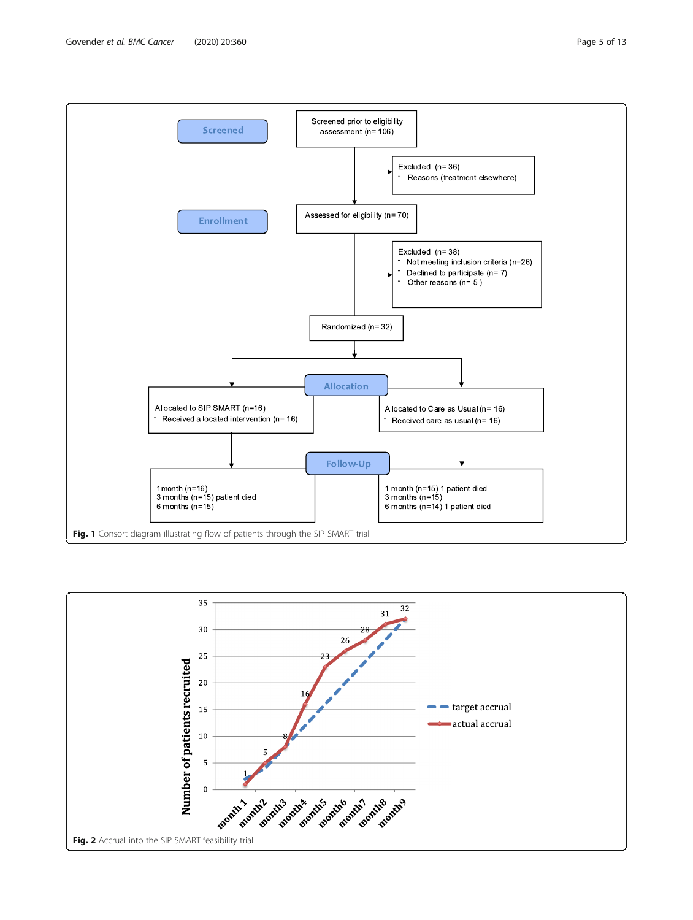<span id="page-4-0"></span>

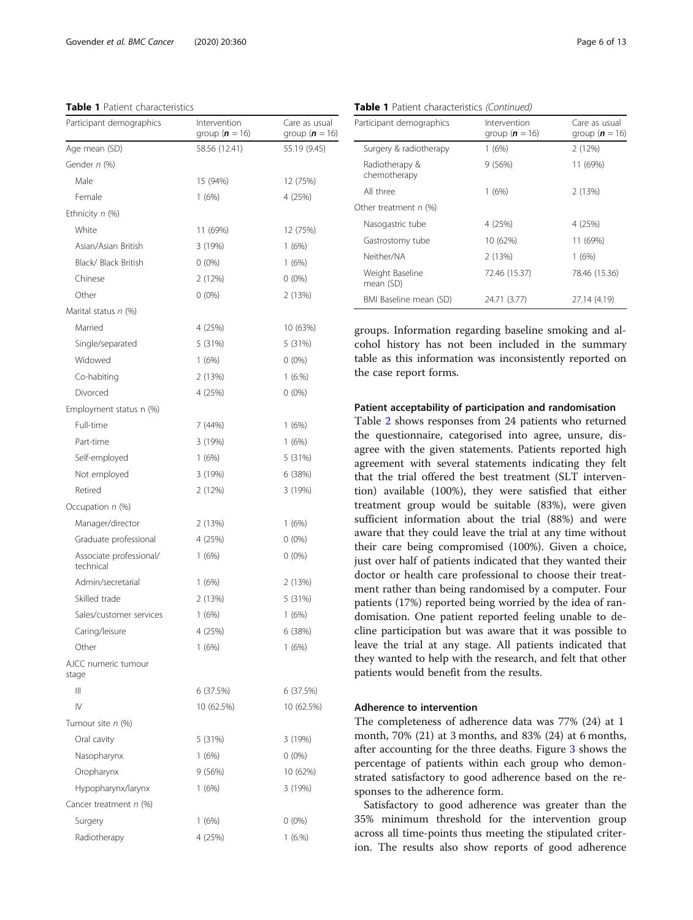#### <span id="page-5-0"></span>Table 1 Patient characteristics

| Participant demographics             | Intervention<br>group ( $n = 16$ ) | Care as usual<br>group ( $n = 16$ ) |
|--------------------------------------|------------------------------------|-------------------------------------|
| Age mean (SD)                        | 58.56 (12.41)                      | 55.19 (9.45)                        |
| Gender n (%)                         |                                    |                                     |
| Male                                 | 15 (94%)                           | 12 (75%)                            |
| Female                               | 1(6%)                              | 4 (25%)                             |
| Ethnicity $n$ (%)                    |                                    |                                     |
| White                                | 11 (69%)                           | 12 (75%)                            |
| Asian/Asian British                  | 3 (19%)                            | 1(6%)                               |
| Black/ Black British                 | $0(0\%)$                           | 1(6%)                               |
| Chinese                              | 2 (12%)                            | $0(0\%)$                            |
| Other                                | $0(0\%)$                           | 2 (13%)                             |
| Marital status n (%)                 |                                    |                                     |
| Married                              | 4 (25%)                            | 10 (63%)                            |
| Single/separated                     | 5 (31%)                            | 5 (31%)                             |
| Widowed                              | 1(6%)                              | $0(0\%)$                            |
| Co-habiting                          | 2 (13%)                            | 1(6.%)                              |
| Divorced                             | 4 (25%)                            | $0(0\%)$                            |
| Employment status n (%)              |                                    |                                     |
| Full-time                            | 7 (44%)                            | 1(6%)                               |
| Part-time                            | 3 (19%)                            | 1(6%)                               |
| Self-employed                        | 1(6%)                              | 5 (31%)                             |
| Not employed                         | 3 (19%)                            | 6 (38%)                             |
| Retired                              | 2 (12%)                            | 3(19%)                              |
| Occupation $n$ (%)                   |                                    |                                     |
| Manager/director                     | 2(13%)                             | 1(6%)                               |
| Graduate professional                | 4 (25%)                            | $0(0\%)$                            |
| Associate professional/<br>technical | 1(6%)                              | $0(0\%)$                            |
| Admin/secretarial                    | 1(6%)                              | 2 (13%)                             |
| Skilled trade                        | 2 (13%)                            | 5 (31%)                             |
| Sales/customer services              | 1(6%)                              | 1(6%)                               |
| Caring/leisure                       | 4 (25%)                            | 6 (38%)                             |
| Other                                | 1(6%)                              | 1(6%)                               |
| AJCC numeric tumour<br>stage         |                                    |                                     |
| Ш                                    | 6(37.5%)                           | 6 (37.5%)                           |
| $\mathsf{IV}$                        | 10 (62.5%)                         | 10 (62.5%)                          |
| Tumour site n (%)                    |                                    |                                     |
| Oral cavity                          | 5 (31%)                            | 3 (19%)                             |
| Nasopharynx                          | 1(6%)                              | $0(0\%)$                            |
| Oropharynx                           | 9 (56%)                            | 10 (62%)                            |
| Hypopharynx/larynx                   | 1(6%)                              | 3 (19%)                             |
| Cancer treatment n (%)               |                                    |                                     |
| Surgery                              | 1(6%)                              | $0(0\%)$                            |
| Radiotherapy                         | 4 (25%)                            | 1(6.%)                              |

Table 1 Patient characteristics (Continued)

| Participant demographics       | Intervention<br>group ( $n = 16$ ) | Care as usual<br>group ( $n = 16$ ) |
|--------------------------------|------------------------------------|-------------------------------------|
| Surgery & radiotherapy         | 1(6%)                              | 2(12%)                              |
| Radiotherapy &<br>chemotherapy | 9(56%)                             | 11 (69%)                            |
| All three                      | 1 (6%)                             | 2(13%)                              |
| Other treatment $n$ (%)        |                                    |                                     |
| Nasogastric tube               | 4 (25%)                            | 4 (25%)                             |
| Gastrostomy tube               | 10 (62%)                           | 11 (69%)                            |
| Neither/NA                     | 2(13%)                             | 1(6%)                               |
| Weight Baseline<br>mean (SD)   | 72.46 (15.37)                      | 78.46 (15.36)                       |
| BMI Baseline mean (SD)         | 24.71 (3.77)                       | 27.14 (4.19)                        |

groups. Information regarding baseline smoking and alcohol history has not been included in the summary table as this information was inconsistently reported on the case report forms.

#### Patient acceptability of participation and randomisation

Table [2](#page-6-0) shows responses from 24 patients who returned the questionnaire, categorised into agree, unsure, disagree with the given statements. Patients reported high agreement with several statements indicating they felt that the trial offered the best treatment (SLT intervention) available (100%), they were satisfied that either treatment group would be suitable (83%), were given sufficient information about the trial (88%) and were aware that they could leave the trial at any time without their care being compromised (100%). Given a choice, just over half of patients indicated that they wanted their doctor or health care professional to choose their treatment rather than being randomised by a computer. Four patients (17%) reported being worried by the idea of randomisation. One patient reported feeling unable to decline participation but was aware that it was possible to leave the trial at any stage. All patients indicated that they wanted to help with the research, and felt that other patients would benefit from the results.

#### Adherence to intervention

The completeness of adherence data was 77% (24) at 1 month, 70% (21) at 3 months, and 83% (24) at 6 months, after accounting for the three deaths. Figure [3](#page-6-0) shows the percentage of patients within each group who demonstrated satisfactory to good adherence based on the responses to the adherence form.

Satisfactory to good adherence was greater than the 35% minimum threshold for the intervention group across all time-points thus meeting the stipulated criterion. The results also show reports of good adherence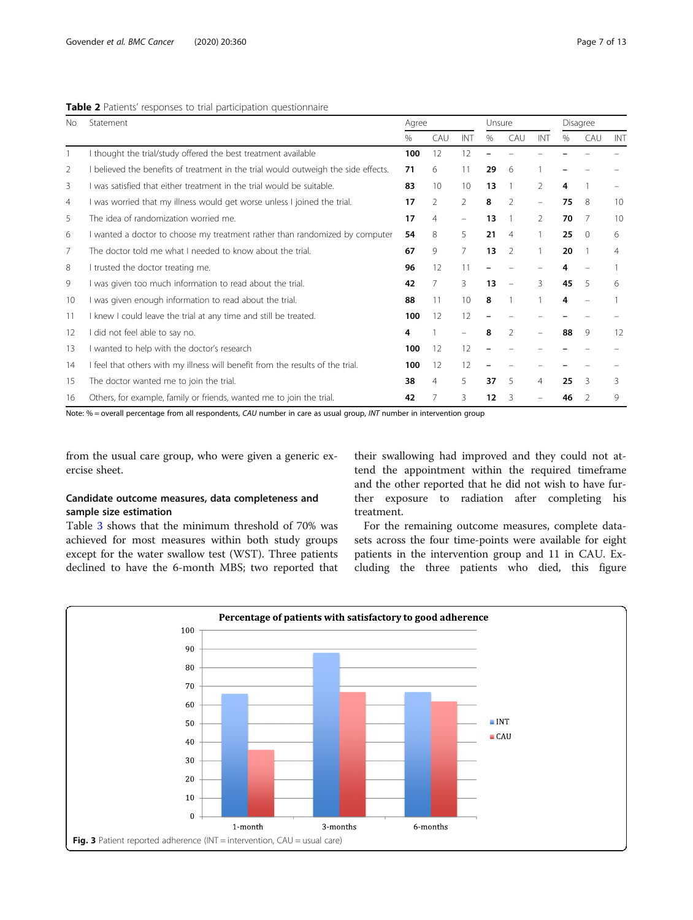#### <span id="page-6-0"></span>Table 2 Patients' responses to trial participation questionnaire

| No | Statement                                                                          |                                        | Agree          |                                |      | Unsure                   |                |      | Disagree |     |  |
|----|------------------------------------------------------------------------------------|----------------------------------------|----------------|--------------------------------|------|--------------------------|----------------|------|----------|-----|--|
|    |                                                                                    | $\%$                                   | CAU            | INT                            | $\%$ | CAU                      | INT            | $\%$ | CAU      | INT |  |
|    | I thought the trial/study offered the best treatment available                     | 100                                    | 12             | 12                             |      |                          |                |      |          |     |  |
| 2  | I believed the benefits of treatment in the trial would outweigh the side effects. | 71                                     | 6              | 11                             | 29   | 6                        |                |      |          |     |  |
| 3  | I was satisfied that either treatment in the trial would be suitable.              | 83                                     | 10             | 10                             | 13   |                          | $\mathfrak{D}$ | 4    |          |     |  |
| 4  | I was worried that my illness would get worse unless I joined the trial.           | $\mathfrak{D}$<br>$\overline{2}$<br>17 |                |                                | 8    | $\mathcal{P}$            | -              | 75   | 8        | 10  |  |
| 5  | The idea of randomization worried me.                                              |                                        |                | $\qquad \qquad \longleftarrow$ | 13   |                          | $\mathcal{P}$  | 70   | 7        | 10  |  |
| 6  | I wanted a doctor to choose my treatment rather than randomized by computer        |                                        | 8              | 5                              | 21   | 4                        |                | 25   | $\Omega$ | 6   |  |
| 7  | The doctor told me what I needed to know about the trial.                          |                                        | 9              | $\overline{7}$                 | 13   | $\mathfrak{D}$           |                | 20   |          | 4   |  |
| 8  | I trusted the doctor treating me.                                                  |                                        | 12             | 11                             |      |                          |                | 4    |          |     |  |
| 9  | I was given too much information to read about the trial.                          | 42                                     | 7              | 3                              | 13   | $\overline{\phantom{m}}$ | 3              | 45   | 5        | 6   |  |
| 10 | I was given enough information to read about the trial.                            | 88                                     | 11             | 10                             | 8    |                          |                | 4    |          |     |  |
| 11 | I knew I could leave the trial at any time and still be treated.                   | 100                                    | 12             | 12                             |      |                          |                |      |          |     |  |
| 12 | I did not feel able to say no.                                                     |                                        |                |                                | 8    | $\mathfrak{D}$           |                | 88   | 9        | 12  |  |
| 13 | I wanted to help with the doctor's research                                        |                                        | 12             | 12                             |      |                          |                |      |          |     |  |
| 14 | I feel that others with my illness will benefit from the results of the trial.     | 100                                    | 12             | 12                             |      |                          |                |      |          |     |  |
| 15 | The doctor wanted me to join the trial.                                            | 38                                     | $\overline{4}$ | 5                              | 37   | 5                        | $\overline{4}$ | 25   | 3        | 3   |  |
| 16 | Others, for example, family or friends, wanted me to join the trial.               | 42                                     |                | 3                              | 12   | 3                        |                | 46   |          | 9   |  |

Note: % = overall percentage from all respondents, CAU number in care as usual group, INT number in intervention group

from the usual care group, who were given a generic exercise sheet.

### Candidate outcome measures, data completeness and sample size estimation

Table [3](#page-7-0) shows that the minimum threshold of 70% was achieved for most measures within both study groups except for the water swallow test (WST). Three patients declined to have the 6-month MBS; two reported that

their swallowing had improved and they could not attend the appointment within the required timeframe and the other reported that he did not wish to have further exposure to radiation after completing his treatment.

For the remaining outcome measures, complete datasets across the four time-points were available for eight patients in the intervention group and 11 in CAU. Excluding the three patients who died, this figure

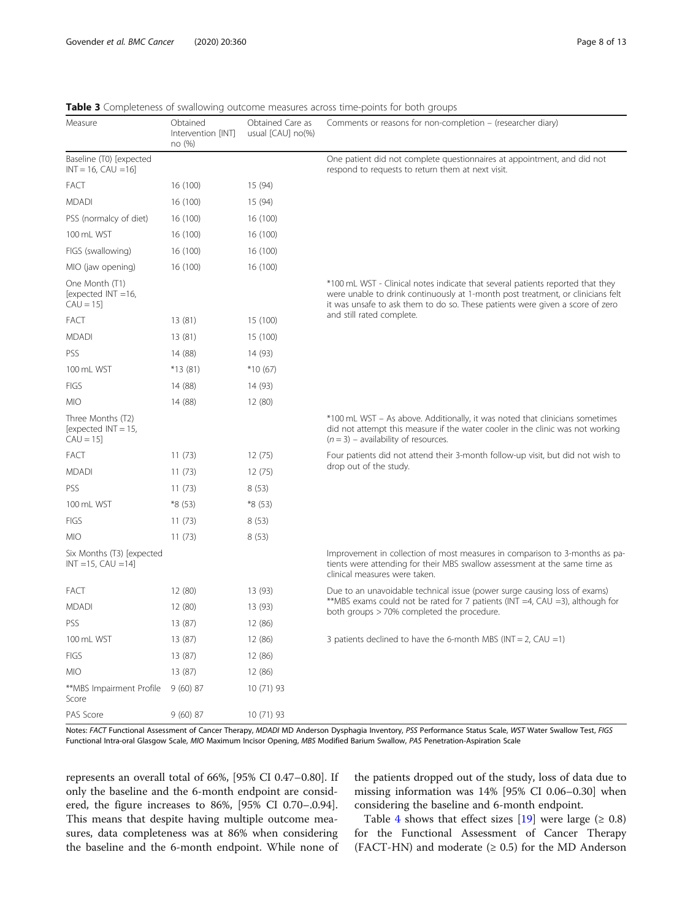| Measure                                                   | Obtained<br>Intervention [INT]<br>no (%) | Obtained Care as<br>usual [CAU] no(%) | Comments or reasons for non-completion – (researcher diary)                                                                                                                                                                                        |
|-----------------------------------------------------------|------------------------------------------|---------------------------------------|----------------------------------------------------------------------------------------------------------------------------------------------------------------------------------------------------------------------------------------------------|
| Baseline (T0) [expected<br>$INT = 16$ , $CAU = 16$        |                                          |                                       | One patient did not complete questionnaires at appointment, and did not<br>respond to requests to return them at next visit.                                                                                                                       |
| FACT                                                      | 16 (100)                                 | 15 (94)                               |                                                                                                                                                                                                                                                    |
| <b>MDADI</b>                                              | 16 (100)                                 | 15 (94)                               |                                                                                                                                                                                                                                                    |
| PSS (normalcy of diet)                                    | 16 (100)                                 | 16 (100)                              |                                                                                                                                                                                                                                                    |
| 100 mL WST                                                | 16 (100)                                 | 16 (100)                              |                                                                                                                                                                                                                                                    |
| FIGS (swallowing)                                         | 16 (100)                                 | 16 (100)                              |                                                                                                                                                                                                                                                    |
| MIO (jaw opening)                                         | 16 (100)                                 | 16 (100)                              |                                                                                                                                                                                                                                                    |
| One Month (T1)<br>[expected $INT = 16$ ,<br>$CAU = 15$    |                                          |                                       | *100 mL WST - Clinical notes indicate that several patients reported that they<br>were unable to drink continuously at 1-month post treatment, or clinicians felt<br>it was unsafe to ask them to do so. These patients were given a score of zero |
| FACT                                                      | 13(81)                                   | 15 (100)                              | and still rated complete.                                                                                                                                                                                                                          |
| <b>MDADI</b>                                              | 13(81)                                   | 15 (100)                              |                                                                                                                                                                                                                                                    |
| PSS                                                       | 14 (88)                                  | 14 (93)                               |                                                                                                                                                                                                                                                    |
| 100 mL WST                                                | *13 (81)                                 | $*10(67)$                             |                                                                                                                                                                                                                                                    |
| <b>FIGS</b>                                               | 14 (88)                                  | 14 (93)                               |                                                                                                                                                                                                                                                    |
| MIO                                                       | 14 (88)                                  | 12 (80)                               |                                                                                                                                                                                                                                                    |
| Three Months (T2)<br>[expected $INT = 15$ ,<br>$CAU = 15$ |                                          |                                       | *100 mL WST - As above. Additionally, it was noted that clinicians sometimes<br>did not attempt this measure if the water cooler in the clinic was not working<br>$(n = 3)$ – availability of resources.                                           |
| Fact                                                      | 11(73)                                   | 12(75)                                | Four patients did not attend their 3-month follow-up visit, but did not wish to                                                                                                                                                                    |
| <b>MDADI</b>                                              | 11(73)                                   | 12(75)                                | drop out of the study.                                                                                                                                                                                                                             |
| PSS                                                       | 11(73)                                   | 8(53)                                 |                                                                                                                                                                                                                                                    |
| 100 mL WST                                                | *8 (53)                                  | *8 (53)                               |                                                                                                                                                                                                                                                    |
| <b>FIGS</b>                                               | 11(73)                                   | 8(53)                                 |                                                                                                                                                                                                                                                    |
| <b>MIO</b>                                                | 11(73)                                   | 8(53)                                 |                                                                                                                                                                                                                                                    |
| Six Months (T3) [expected<br>$INT = 15, CAU = 14$         |                                          |                                       | Improvement in collection of most measures in comparison to 3-months as pa-<br>tients were attending for their MBS swallow assessment at the same time as<br>clinical measures were taken.                                                         |
| FACT                                                      | 12 (80)                                  | 13 (93)                               | Due to an unavoidable technical issue (power surge causing loss of exams)                                                                                                                                                                          |
| <b>MDADI</b>                                              | 12 (80)                                  | 13 (93)                               | **MBS exams could not be rated for 7 patients ( $INT = 4$ , $CAU = 3$ ), although for<br>both groups > 70% completed the procedure.                                                                                                                |
| PSS                                                       | 13 (87)                                  | 12 (86)                               |                                                                                                                                                                                                                                                    |
| 100 mL WST                                                | 13(87)                                   | 12 (86)                               | 3 patients declined to have the 6-month MBS (INT = 2, CAU = 1)                                                                                                                                                                                     |
| FIGS                                                      | 13 (87)                                  | 12 (86)                               |                                                                                                                                                                                                                                                    |
| <b>MIO</b>                                                | 13 (87)                                  | 12 (86)                               |                                                                                                                                                                                                                                                    |
| **MBS Impairment Profile<br>Score                         | 9(60)87                                  | 10 (71) 93                            |                                                                                                                                                                                                                                                    |
| PAS Score                                                 | 9(60)87                                  | 10 (71) 93                            |                                                                                                                                                                                                                                                    |

<span id="page-7-0"></span>Table 3 Completeness of swallowing outcome measures across time-points for both groups

ss: FACT Functional Assessment of Cancer Therapy, *MDADI* MD Anderson Dysphagia Inventory, *PSS* Performance Status Scale, *WST* Water Swallow Test, FIG. Functional Intra-oral Glasgow Scale, MIO Maximum Incisor Opening, MBS Modified Barium Swallow, PAS Penetration-Aspiration Scale

represents an overall total of 66%, [95% CI 0.47–0.80]. If only the baseline and the 6-month endpoint are considered, the figure increases to 86%, [95% CI 0.70–.0.94]. This means that despite having multiple outcome measures, data completeness was at 86% when considering the baseline and the 6-month endpoint. While none of

the patients dropped out of the study, loss of data due to missing information was 14% [95% CI 0.06–0.30] when considering the baseline and 6-month endpoint.

Table [4](#page-8-0) shows that effect sizes [[19\]](#page-12-0) were large ( $\geq 0.8$ ) for the Functional Assessment of Cancer Therapy (FACT-HN) and moderate  $(≥ 0.5)$  for the MD Anderson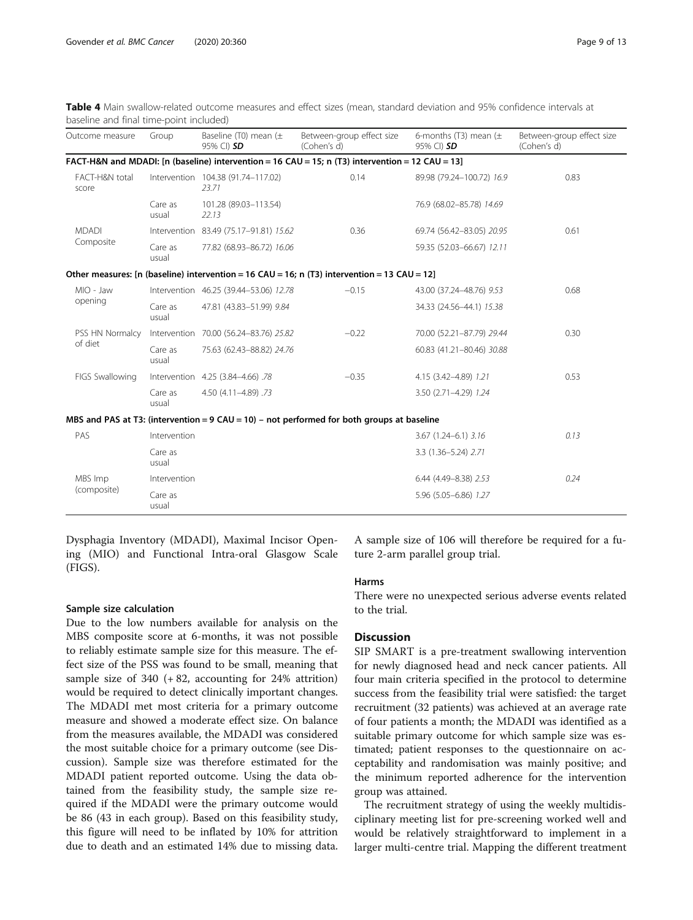<span id="page-8-0"></span>

| Table 4 Main swallow-related outcome measures and effect sizes (mean, standard deviation and 95% confidence intervals at |  |  |  |  |
|--------------------------------------------------------------------------------------------------------------------------|--|--|--|--|
| baseline and final time-point included)                                                                                  |  |  |  |  |

| Outcome measure                                                                                  | Group            | Baseline (T0) mean $(\pm$<br>95% CI) SD     | Between-group effect size<br>(Cohen's d)                                                     | 6-months (T3) mean $(\pm$<br>95% CI) <b>SD</b> | Between-group effect size<br>(Cohen's d) |  |  |  |  |
|--------------------------------------------------------------------------------------------------|------------------|---------------------------------------------|----------------------------------------------------------------------------------------------|------------------------------------------------|------------------------------------------|--|--|--|--|
| FACT-H&N and MDADI: [n (baseline) intervention = 16 CAU = 15; n (T3) intervention = 12 CAU = 13] |                  |                                             |                                                                                              |                                                |                                          |  |  |  |  |
| FACT-H&N total<br>score                                                                          |                  | Intervention 104.38 (91.74-117.02)<br>23.71 | 0.14                                                                                         | 89.98 (79.24-100.72) 16.9                      | 0.83                                     |  |  |  |  |
|                                                                                                  | Care as<br>usual | 101.28 (89.03-113.54)<br>22.13              |                                                                                              | 76.9 (68.02-85.78) 14.69                       |                                          |  |  |  |  |
| <b>MDADI</b>                                                                                     |                  | Intervention 83.49 (75.17-91.81) 15.62      | 0.36                                                                                         | 69.74 (56.42-83.05) 20.95                      | 0.61                                     |  |  |  |  |
| Composite                                                                                        | Care as<br>usual | 77.82 (68.93-86.72) 16.06                   |                                                                                              | 59.35 (52.03-66.67) 12.11                      |                                          |  |  |  |  |
|                                                                                                  |                  |                                             | Other measures: [n (baseline) intervention = 16 CAU = 16; n (T3) intervention = 13 CAU = 12] |                                                |                                          |  |  |  |  |
| MIO - Jaw                                                                                        |                  | Intervention 46.25 (39.44-53.06) 12.78      | $-0.15$                                                                                      | 43.00 (37.24-48.76) 9.53                       | 0.68                                     |  |  |  |  |
| opening                                                                                          | Care as<br>usual | 47.81 (43.83-51.99) 9.84                    |                                                                                              | 34.33 (24.56-44.1) 15.38                       |                                          |  |  |  |  |
| PSS HN Normalcy                                                                                  |                  | Intervention 70.00 (56.24-83.76) 25.82      | $-0.22$                                                                                      | 70.00 (52.21-87.79) 29.44                      | 0.30                                     |  |  |  |  |
| of diet                                                                                          | Care as<br>usual | 75.63 (62.43-88.82) 24.76                   |                                                                                              | 60.83 (41.21-80.46) 30.88                      |                                          |  |  |  |  |
| FIGS Swallowing                                                                                  |                  | Intervention 4.25 (3.84-4.66) .78           | $-0.35$                                                                                      | 4.15 (3.42-4.89) 1.21                          | 0.53                                     |  |  |  |  |
|                                                                                                  | Care as<br>usual | 4.50 (4.11-4.89) .73                        |                                                                                              | 3.50 (2.71-4.29) 1.24                          |                                          |  |  |  |  |
|                                                                                                  |                  |                                             | MBS and PAS at T3: (intervention = $9$ CAU = 10) - not performed for both groups at baseline |                                                |                                          |  |  |  |  |
| PAS                                                                                              | Intervention     |                                             |                                                                                              | $3.67$ $(1.24 - 6.1)$ $3.16$                   | 0.13                                     |  |  |  |  |
|                                                                                                  | Care as<br>usual |                                             |                                                                                              | 3.3 (1.36-5.24) 2.71                           |                                          |  |  |  |  |
| MBS Imp                                                                                          | Intervention     |                                             |                                                                                              | 6.44 (4.49-8.38) 2.53                          | 0.24                                     |  |  |  |  |
| (composite)                                                                                      | Care as<br>usual |                                             |                                                                                              | 5.96 (5.05-6.86) 1.27                          |                                          |  |  |  |  |

Dysphagia Inventory (MDADI), Maximal Incisor Opening (MIO) and Functional Intra-oral Glasgow Scale (FIGS).

#### Sample size calculation

Due to the low numbers available for analysis on the MBS composite score at 6-months, it was not possible to reliably estimate sample size for this measure. The effect size of the PSS was found to be small, meaning that sample size of 340 (+ 82, accounting for 24% attrition) would be required to detect clinically important changes. The MDADI met most criteria for a primary outcome measure and showed a moderate effect size. On balance from the measures available, the MDADI was considered the most suitable choice for a primary outcome (see Discussion). Sample size was therefore estimated for the MDADI patient reported outcome. Using the data obtained from the feasibility study, the sample size required if the MDADI were the primary outcome would be 86 (43 in each group). Based on this feasibility study, this figure will need to be inflated by 10% for attrition due to death and an estimated 14% due to missing data.

A sample size of 106 will therefore be required for a future 2-arm parallel group trial.

#### Harms

There were no unexpected serious adverse events related to the trial.

#### **Discussion**

SIP SMART is a pre-treatment swallowing intervention for newly diagnosed head and neck cancer patients. All four main criteria specified in the protocol to determine success from the feasibility trial were satisfied: the target recruitment (32 patients) was achieved at an average rate of four patients a month; the MDADI was identified as a suitable primary outcome for which sample size was estimated; patient responses to the questionnaire on acceptability and randomisation was mainly positive; and the minimum reported adherence for the intervention group was attained.

The recruitment strategy of using the weekly multidisciplinary meeting list for pre-screening worked well and would be relatively straightforward to implement in a larger multi-centre trial. Mapping the different treatment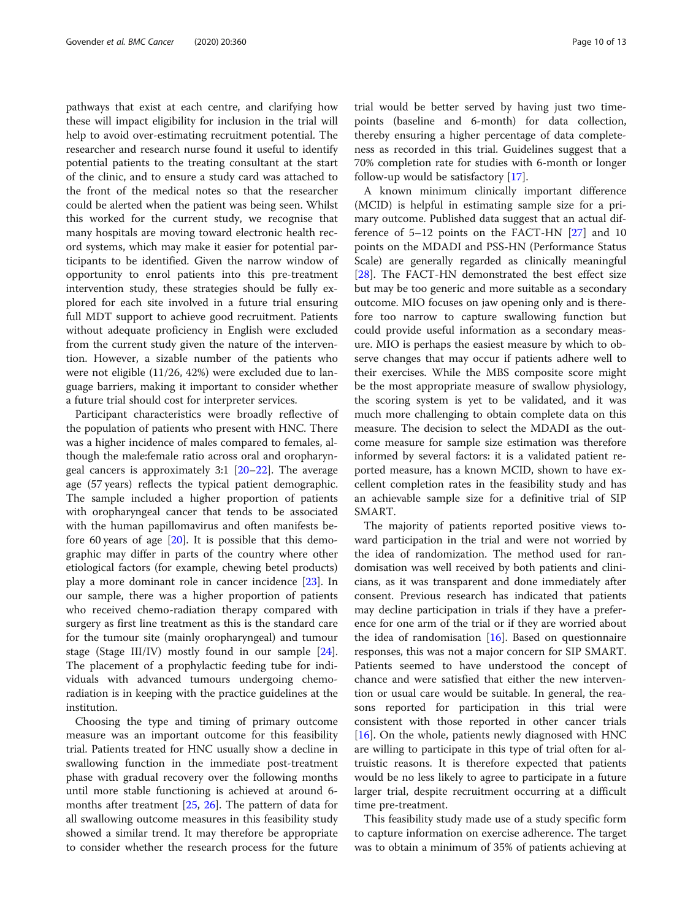pathways that exist at each centre, and clarifying how these will impact eligibility for inclusion in the trial will help to avoid over-estimating recruitment potential. The researcher and research nurse found it useful to identify potential patients to the treating consultant at the start of the clinic, and to ensure a study card was attached to the front of the medical notes so that the researcher could be alerted when the patient was being seen. Whilst this worked for the current study, we recognise that many hospitals are moving toward electronic health record systems, which may make it easier for potential participants to be identified. Given the narrow window of opportunity to enrol patients into this pre-treatment intervention study, these strategies should be fully explored for each site involved in a future trial ensuring full MDT support to achieve good recruitment. Patients without adequate proficiency in English were excluded from the current study given the nature of the intervention. However, a sizable number of the patients who were not eligible (11/26, 42%) were excluded due to language barriers, making it important to consider whether a future trial should cost for interpreter services.

Participant characteristics were broadly reflective of the population of patients who present with HNC. There was a higher incidence of males compared to females, although the male:female ratio across oral and oropharyngeal cancers is approximately 3:1 [\[20](#page-12-0)–[22\]](#page-12-0). The average age (57 years) reflects the typical patient demographic. The sample included a higher proportion of patients with oropharyngeal cancer that tends to be associated with the human papillomavirus and often manifests before 60 years of age [[20\]](#page-12-0). It is possible that this demographic may differ in parts of the country where other etiological factors (for example, chewing betel products) play a more dominant role in cancer incidence [[23\]](#page-12-0). In our sample, there was a higher proportion of patients who received chemo-radiation therapy compared with surgery as first line treatment as this is the standard care for the tumour site (mainly oropharyngeal) and tumour stage (Stage III/IV) mostly found in our sample [\[24](#page-12-0)]. The placement of a prophylactic feeding tube for individuals with advanced tumours undergoing chemoradiation is in keeping with the practice guidelines at the institution.

Choosing the type and timing of primary outcome measure was an important outcome for this feasibility trial. Patients treated for HNC usually show a decline in swallowing function in the immediate post-treatment phase with gradual recovery over the following months until more stable functioning is achieved at around 6 months after treatment [[25,](#page-12-0) [26](#page-12-0)]. The pattern of data for all swallowing outcome measures in this feasibility study showed a similar trend. It may therefore be appropriate to consider whether the research process for the future trial would be better served by having just two timepoints (baseline and 6-month) for data collection, thereby ensuring a higher percentage of data completeness as recorded in this trial. Guidelines suggest that a 70% completion rate for studies with 6-month or longer follow-up would be satisfactory [\[17\]](#page-12-0).

A known minimum clinically important difference (MCID) is helpful in estimating sample size for a primary outcome. Published data suggest that an actual difference of 5–12 points on the FACT-HN [\[27](#page-12-0)] and 10 points on the MDADI and PSS-HN (Performance Status Scale) are generally regarded as clinically meaningful [[28\]](#page-12-0). The FACT-HN demonstrated the best effect size but may be too generic and more suitable as a secondary outcome. MIO focuses on jaw opening only and is therefore too narrow to capture swallowing function but could provide useful information as a secondary measure. MIO is perhaps the easiest measure by which to observe changes that may occur if patients adhere well to their exercises. While the MBS composite score might be the most appropriate measure of swallow physiology, the scoring system is yet to be validated, and it was much more challenging to obtain complete data on this measure. The decision to select the MDADI as the outcome measure for sample size estimation was therefore informed by several factors: it is a validated patient reported measure, has a known MCID, shown to have excellent completion rates in the feasibility study and has an achievable sample size for a definitive trial of SIP SMART.

The majority of patients reported positive views toward participation in the trial and were not worried by the idea of randomization. The method used for randomisation was well received by both patients and clinicians, as it was transparent and done immediately after consent. Previous research has indicated that patients may decline participation in trials if they have a preference for one arm of the trial or if they are worried about the idea of randomisation  $[16]$  $[16]$ . Based on questionnaire responses, this was not a major concern for SIP SMART. Patients seemed to have understood the concept of chance and were satisfied that either the new intervention or usual care would be suitable. In general, the reasons reported for participation in this trial were consistent with those reported in other cancer trials [[16\]](#page-12-0). On the whole, patients newly diagnosed with HNC are willing to participate in this type of trial often for altruistic reasons. It is therefore expected that patients would be no less likely to agree to participate in a future larger trial, despite recruitment occurring at a difficult time pre-treatment.

This feasibility study made use of a study specific form to capture information on exercise adherence. The target was to obtain a minimum of 35% of patients achieving at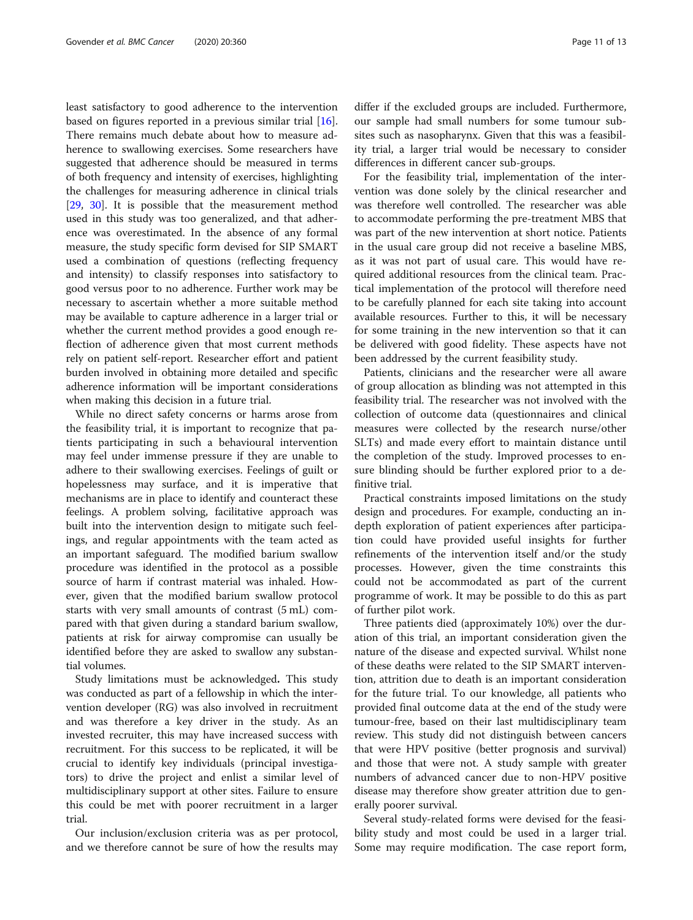least satisfactory to good adherence to the intervention based on figures reported in a previous similar trial [\[16](#page-12-0)]. There remains much debate about how to measure adherence to swallowing exercises. Some researchers have suggested that adherence should be measured in terms of both frequency and intensity of exercises, highlighting the challenges for measuring adherence in clinical trials [[29,](#page-12-0) [30\]](#page-12-0). It is possible that the measurement method used in this study was too generalized, and that adherence was overestimated. In the absence of any formal measure, the study specific form devised for SIP SMART used a combination of questions (reflecting frequency and intensity) to classify responses into satisfactory to good versus poor to no adherence. Further work may be necessary to ascertain whether a more suitable method may be available to capture adherence in a larger trial or whether the current method provides a good enough reflection of adherence given that most current methods rely on patient self-report. Researcher effort and patient burden involved in obtaining more detailed and specific adherence information will be important considerations when making this decision in a future trial.

While no direct safety concerns or harms arose from the feasibility trial, it is important to recognize that patients participating in such a behavioural intervention may feel under immense pressure if they are unable to adhere to their swallowing exercises. Feelings of guilt or hopelessness may surface, and it is imperative that mechanisms are in place to identify and counteract these feelings. A problem solving, facilitative approach was built into the intervention design to mitigate such feelings, and regular appointments with the team acted as an important safeguard. The modified barium swallow procedure was identified in the protocol as a possible source of harm if contrast material was inhaled. However, given that the modified barium swallow protocol starts with very small amounts of contrast (5 mL) compared with that given during a standard barium swallow, patients at risk for airway compromise can usually be identified before they are asked to swallow any substantial volumes.

Study limitations must be acknowledged. This study was conducted as part of a fellowship in which the intervention developer (RG) was also involved in recruitment and was therefore a key driver in the study. As an invested recruiter, this may have increased success with recruitment. For this success to be replicated, it will be crucial to identify key individuals (principal investigators) to drive the project and enlist a similar level of multidisciplinary support at other sites. Failure to ensure this could be met with poorer recruitment in a larger trial.

Our inclusion/exclusion criteria was as per protocol, and we therefore cannot be sure of how the results may

differ if the excluded groups are included. Furthermore, our sample had small numbers for some tumour subsites such as nasopharynx. Given that this was a feasibility trial, a larger trial would be necessary to consider differences in different cancer sub-groups.

For the feasibility trial, implementation of the intervention was done solely by the clinical researcher and was therefore well controlled. The researcher was able to accommodate performing the pre-treatment MBS that was part of the new intervention at short notice. Patients in the usual care group did not receive a baseline MBS, as it was not part of usual care. This would have required additional resources from the clinical team. Practical implementation of the protocol will therefore need to be carefully planned for each site taking into account available resources. Further to this, it will be necessary for some training in the new intervention so that it can be delivered with good fidelity. These aspects have not been addressed by the current feasibility study.

Patients, clinicians and the researcher were all aware of group allocation as blinding was not attempted in this feasibility trial. The researcher was not involved with the collection of outcome data (questionnaires and clinical measures were collected by the research nurse/other SLTs) and made every effort to maintain distance until the completion of the study. Improved processes to ensure blinding should be further explored prior to a definitive trial.

Practical constraints imposed limitations on the study design and procedures. For example, conducting an indepth exploration of patient experiences after participation could have provided useful insights for further refinements of the intervention itself and/or the study processes. However, given the time constraints this could not be accommodated as part of the current programme of work. It may be possible to do this as part of further pilot work.

Three patients died (approximately 10%) over the duration of this trial, an important consideration given the nature of the disease and expected survival. Whilst none of these deaths were related to the SIP SMART intervention, attrition due to death is an important consideration for the future trial. To our knowledge, all patients who provided final outcome data at the end of the study were tumour-free, based on their last multidisciplinary team review. This study did not distinguish between cancers that were HPV positive (better prognosis and survival) and those that were not. A study sample with greater numbers of advanced cancer due to non-HPV positive disease may therefore show greater attrition due to generally poorer survival.

Several study-related forms were devised for the feasibility study and most could be used in a larger trial. Some may require modification. The case report form,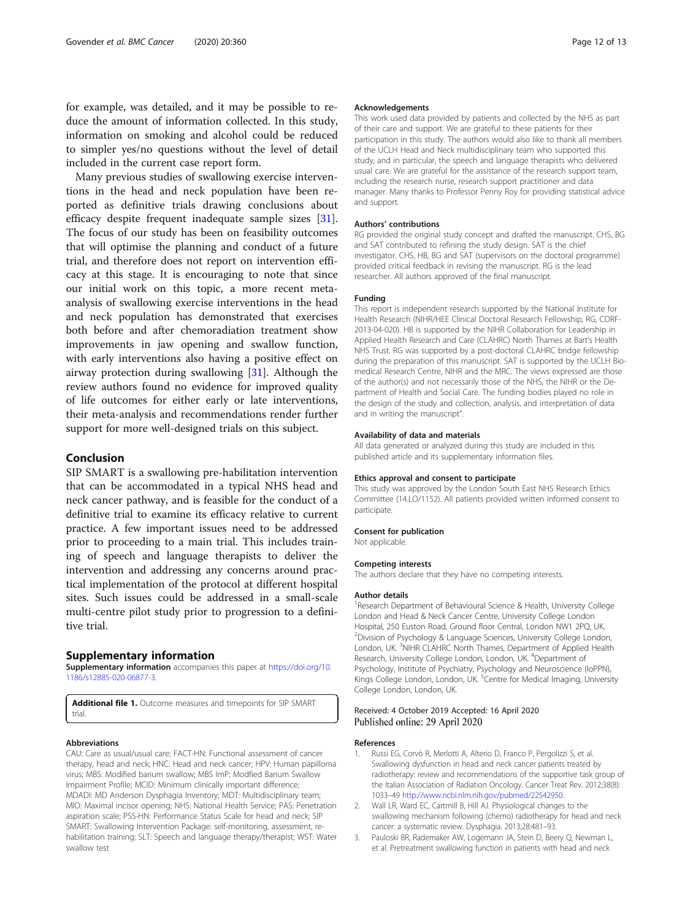<span id="page-11-0"></span>for example, was detailed, and it may be possible to reduce the amount of information collected. In this study, information on smoking and alcohol could be reduced to simpler yes/no questions without the level of detail included in the current case report form.

Many previous studies of swallowing exercise interventions in the head and neck population have been reported as definitive trials drawing conclusions about efficacy despite frequent inadequate sample sizes [\[31](#page-12-0)]. The focus of our study has been on feasibility outcomes that will optimise the planning and conduct of a future trial, and therefore does not report on intervention efficacy at this stage. It is encouraging to note that since our initial work on this topic, a more recent metaanalysis of swallowing exercise interventions in the head and neck population has demonstrated that exercises both before and after chemoradiation treatment show improvements in jaw opening and swallow function, with early interventions also having a positive effect on airway protection during swallowing [\[31\]](#page-12-0). Although the review authors found no evidence for improved quality of life outcomes for either early or late interventions, their meta-analysis and recommendations render further support for more well-designed trials on this subject.

#### Conclusion

SIP SMART is a swallowing pre-habilitation intervention that can be accommodated in a typical NHS head and neck cancer pathway, and is feasible for the conduct of a definitive trial to examine its efficacy relative to current practice. A few important issues need to be addressed prior to proceeding to a main trial. This includes training of speech and language therapists to deliver the intervention and addressing any concerns around practical implementation of the protocol at different hospital sites. Such issues could be addressed in a small-scale multi-centre pilot study prior to progression to a definitive trial.

#### Supplementary information

Supplementary information accompanies this paper at [https://doi.org/10.](https://doi.org/10.1186/s12885-020-06877-3) [1186/s12885-020-06877-3](https://doi.org/10.1186/s12885-020-06877-3).

Additional file 1. Outcome measures and timepoints for SIP SMART trial

#### Abbreviations

CAU: Care as usual/usual care; FACT-HN: Functional assessment of cancer therapy, head and neck; HNC: Head and neck cancer; HPV: Human papilloma virus; MBS: Modified barium swallow; MBS ImP: Modfied Barium Swallow Impairment Profile; MCID: Minimum clinically important difference; MDADI: MD Anderson Dysphagia Inventory; MDT: Multidisciplinary team; MIO: Maximal incisor opening; NHS: National Health Service; PAS: Penetration aspiration scale; PSS-HN: Performance Status Scale for head and neck; SIP SMART: Swallowing Intervention Package: self-monitoring, assessment, rehabilitation training; SLT: Speech and language therapy/therapist; WST: Water swallow test

#### Acknowledgements

This work used data provided by patients and collected by the NHS as part of their care and support. We are grateful to these patients for their participation in this study. The authors would also like to thank all members of the UCLH Head and Neck multidisciplinary team who supported this study, and in particular, the speech and language therapists who delivered usual care. We are grateful for the assistance of the research support team, including the research nurse, research support practitioner and data manager. Many thanks to Professor Penny Roy for providing statistical advice and support.

#### Authors' contributions

RG provided the original study concept and drafted the manuscript. CHS, BG and SAT contributed to refining the study design. SAT is the chief investigator. CHS, HB, BG and SAT (supervisors on the doctoral programme) provided critical feedback in revising the manuscript. RG is the lead researcher. All authors approved of the final manuscript.

#### Funding

This report is independent research supported by the National Institute for Health Research (NIHR/HEE Clinical Doctoral Research Fellowship, RG, CDRF-2013-04-020). HB is supported by the NIHR Collaboration for Leadership in Applied Health Research and Care (CLAHRC) North Thames at Bart's Health NHS Trust. RG was supported by a post-doctoral CLAHRC bridge fellowship during the preparation of this manuscript. SAT is supported by the UCLH Biomedical Research Centre, NIHR and the MRC. The views expressed are those of the author(s) and not necessarily those of the NHS, the NIHR or the Department of Health and Social Care. The funding bodies played no role in the design of the study and collection, analysis, and interpretation of data and in writing the manuscript".

#### Availability of data and materials

All data generated or analyzed during this study are included in this published article and its supplementary information files.

#### Ethics approval and consent to participate

This study was approved by the London South East NHS Research Ethics Committee (14.LO/1152). All patients provided written informed consent to participate.

#### Consent for publication

Not applicable.

#### Competing interests

The authors declare that they have no competing interests.

#### Author details

<sup>1</sup> Research Department of Behavioural Science & Health, University College London and Head & Neck Cancer Centre, University College London Hospital, 250 Euston Road, Ground floor Central, London NW1 2PQ, UK. <sup>2</sup> Division of Psychology & Language Sciences, University College London, London, UK.<sup>3</sup>NIHR CLAHRC North Thames, Department of Applied Health Research, University College London, London, UK. <sup>4</sup>Department of Psychology, Institute of Psychiatry, Psychology and Neuroscience (IoPPN), Kings College London, London, UK.<sup>5</sup> Centre for Medical Imaging, University College London, London, UK.

#### Received: 4 October 2019 Accepted: 16 April 2020 Published online: 29 April 2020

#### References

- Russi EG, Corvò R, Merlotti A, Alterio D, Franco P, Pergolizzi S, et al. Swallowing dysfunction in head and neck cancer patients treated by radiotherapy: review and recommendations of the supportive task group of the Italian Association of Radiation Oncology. Cancer Treat Rev. 2012;38(8): 1033–49 [http://www.ncbi.nlm.nih.gov/pubmed/22542950.](http://www.ncbi.nlm.nih.gov/pubmed/22542950)
- 2. Wall LR, Ward EC, Cartmill B, Hill AJ. Physiological changes to the swallowing mechanism following (chemo) radiotherapy for head and neck cancer: a systematic review. Dysphagia. 2013;28:481–93.
- 3. Pauloski BR, Rademaker AW, Logemann JA, Stein D, Beery Q, Newman L, et al. Pretreatment swallowing function in patients with head and neck